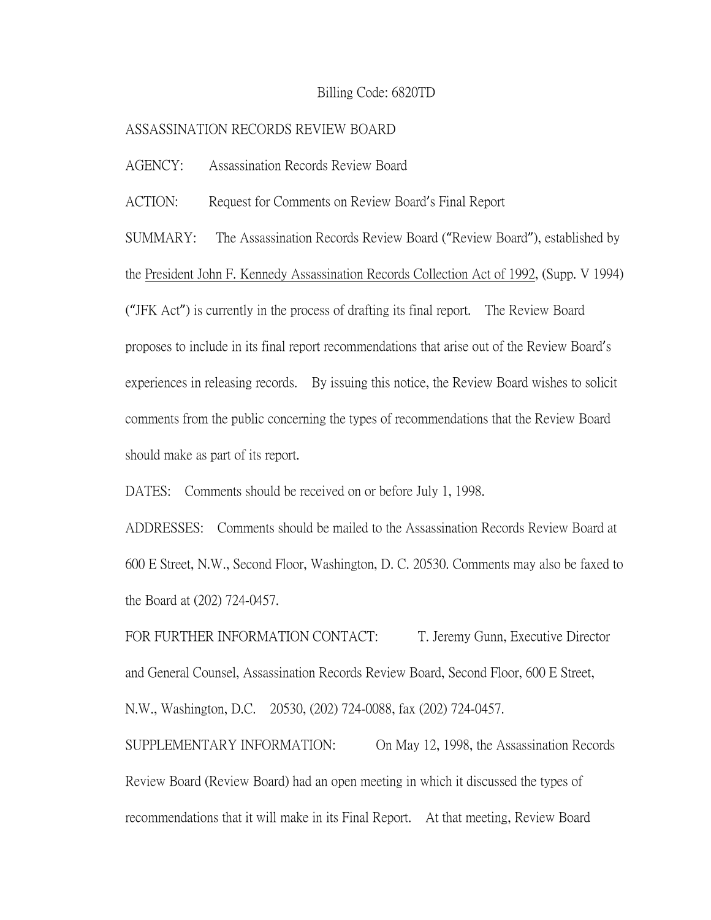## Billing Code: 6820TD

## ASSASSINATION RECORDS REVIEW BOARD

AGENCY: Assassination Records Review Board

ACTION: Request for Comments on Review Board's Final Report

SUMMARY: The Assassination Records Review Board ("Review Board"), established by the President John F. Kennedy Assassination Records Collection Act of 1992, (Supp. V 1994) ("JFK Act") is currently in the process of drafting its final report. The Review Board proposes to include in its final report recommendations that arise out of the Review Board's experiences in releasing records. By issuing this notice, the Review Board wishes to solicit comments from the public concerning the types of recommendations that the Review Board should make as part of its report.

DATES: Comments should be received on or before July 1, 1998.

ADDRESSES: Comments should be mailed to the Assassination Records Review Board at 600 E Street, N.W., Second Floor, Washington, D. C. 20530. Comments may also be faxed to the Board at (202) 724-0457.

FOR FURTHER INFORMATION CONTACT: T. Jeremy Gunn, Executive Director and General Counsel, Assassination Records Review Board, Second Floor, 600 E Street, N.W., Washington, D.C. 20530, (202) 724-0088, fax (202) 724-0457.

SUPPLEMENTARY INFORMATION: On May 12, 1998, the Assassination Records Review Board (Review Board) had an open meeting in which it discussed the types of recommendations that it will make in its Final Report. At that meeting, Review Board